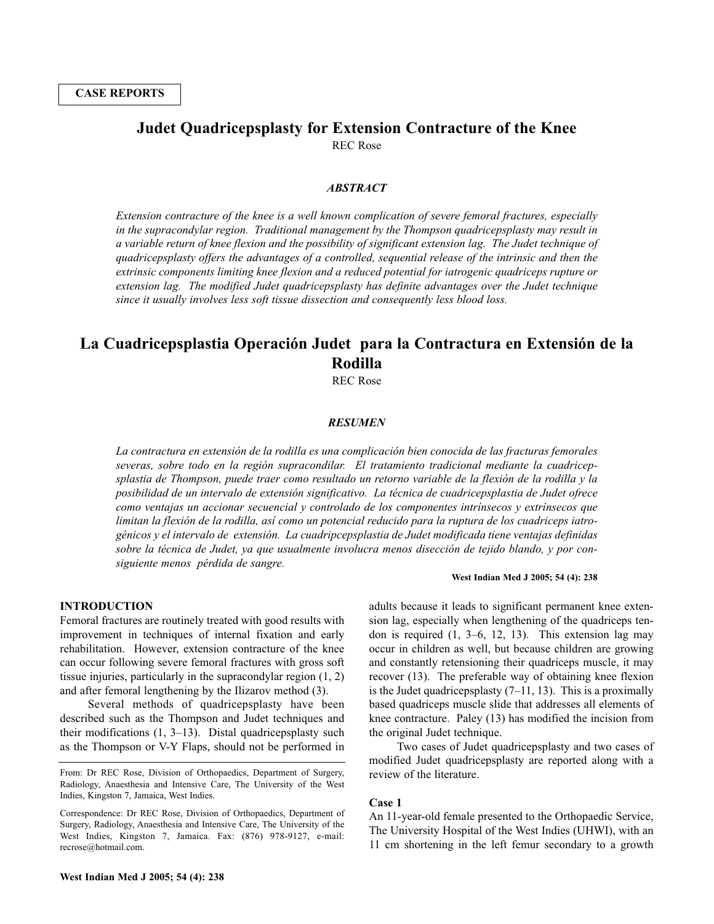# **Judet Quadricepsplasty for Extension Contracture of the Knee**

REC Rose

## *ABSTRACT*

*Extension contracture of the knee is a well known complication of severe femoral fractures, especially in the supracondylar region. Traditional management by the Thompson quadricepsplasty may result in a variable return of knee flexion and the possibility of significant extension lag. The Judet technique of quadricepsplasty offers the advantages of a controlled, sequential release of the intrinsic and then the extrinsic components limiting knee flexion and a reduced potential for iatrogenic quadriceps rupture or extension lag. The modified Judet quadricepsplasty has definite advantages over the Judet technique since it usually involves less soft tissue dissection and consequently less blood loss.*

## **La Cuadricepsplastia Operación Judet para la Contractura en Extensión de la Rodilla**

REC Rose

## *RESUMEN*

*La contractura en extensión de la rodilla es una complicación bien conocida de las fracturas femorales severas, sobre todo en la región supracondilar. El tratamiento tradicional mediante la cuadricepsplastia de Thompson, puede traer como resultado un retorno variable de la flexión de la rodilla y la posibilidad de un intervalo de extensión significativo. La técnica de cuadricepsplastia de Judet ofrece como ventajas un accionar secuencial y controlado de los componentes intrínsecos y extrínsecos que limitan la flexión de la rodilla, así como un potencial reducido para la ruptura de los cuadriceps iatrogénicos y el intervalo de extensión. La cuadripcepsplastia de Judet modificada tiene ventajas definidas sobre la técnica de Judet, ya que usualmente involucra menos disección de tejido blando, y por consiguiente menos pérdida de sangre.*

### **INTRODUCTION**

Femoral fractures are routinely treated with good results with improvement in techniques of internal fixation and early rehabilitation. However, extension contracture of the knee can occur following severe femoral fractures with gross soft tissue injuries, particularly in the supracondylar region (1, 2) and after femoral lengthening by the Ilizarov method (3).

Several methods of quadricepsplasty have been described such as the Thompson and Judet techniques and their modifications (1, 3–13). Distal quadricepsplasty such as the Thompson or V-Y Flaps, should not be performed in

#### **West Indian Med J 2005; 54 (4): 238**

adults because it leads to significant permanent knee extension lag, especially when lengthening of the quadriceps tendon is required (1, 3–6, 12, 13). This extension lag may occur in children as well, but because children are growing and constantly retensioning their quadriceps muscle, it may recover (13). The preferable way of obtaining knee flexion is the Judet quadriceps plasty  $(7-11, 13)$ . This is a proximally based quadriceps muscle slide that addresses all elements of knee contracture. Paley (13) has modified the incision from the original Judet technique.

Two cases of Judet quadricepsplasty and two cases of modified Judet quadricepsplasty are reported along with a review of the literature.

#### **Case 1**

An 11-year-old female presented to the Orthopaedic Service, The University Hospital of the West Indies (UHWI), with an 11 cm shortening in the left femur secondary to a growth

From: Dr REC Rose, Division of Orthopaedics, Department of Surgery, Radiology, Anaesthesia and Intensive Care, The University of the West Indies, Kingston 7, Jamaica, West Indies.

Correspondence: Dr REC Rose, Division of Orthopaedics, Department of Surgery, Radiology, Anaesthesia and Intensive Care, The University of the West Indies, Kingston 7, Jamaica. Fax: (876) 978-9127, e-mail: recrose@hotmail.com.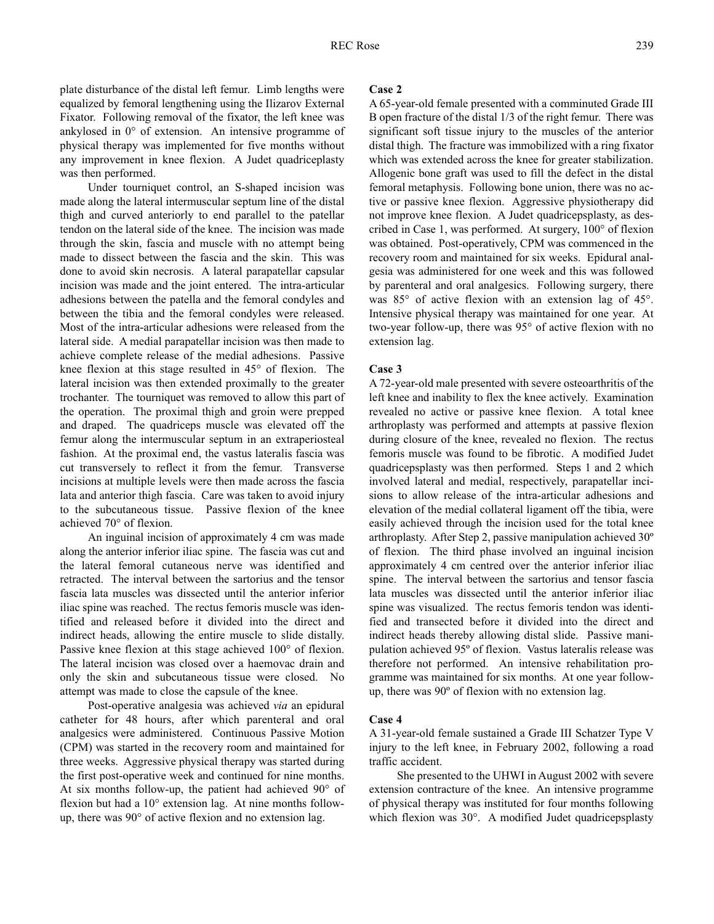plate disturbance of the distal left femur. Limb lengths were equalized by femoral lengthening using the Ilizarov External Fixator. Following removal of the fixator, the left knee was ankylosed in 0° of extension. An intensive programme of physical therapy was implemented for five months without any improvement in knee flexion. A Judet quadriceplasty was then performed.

Under tourniquet control, an S-shaped incision was made along the lateral intermuscular septum line of the distal thigh and curved anteriorly to end parallel to the patellar tendon on the lateral side of the knee. The incision was made through the skin, fascia and muscle with no attempt being made to dissect between the fascia and the skin. This was done to avoid skin necrosis. A lateral parapatellar capsular incision was made and the joint entered. The intra-articular adhesions between the patella and the femoral condyles and between the tibia and the femoral condyles were released. Most of the intra-articular adhesions were released from the lateral side. A medial parapatellar incision was then made to achieve complete release of the medial adhesions. Passive knee flexion at this stage resulted in 45° of flexion. The lateral incision was then extended proximally to the greater trochanter. The tourniquet was removed to allow this part of the operation. The proximal thigh and groin were prepped and draped. The quadriceps muscle was elevated off the femur along the intermuscular septum in an extraperiosteal fashion. At the proximal end, the vastus lateralis fascia was cut transversely to reflect it from the femur. Transverse incisions at multiple levels were then made across the fascia lata and anterior thigh fascia. Care was taken to avoid injury to the subcutaneous tissue. Passive flexion of the knee achieved 70° of flexion.

An inguinal incision of approximately 4 cm was made along the anterior inferior iliac spine. The fascia was cut and the lateral femoral cutaneous nerve was identified and retracted. The interval between the sartorius and the tensor fascia lata muscles was dissected until the anterior inferior iliac spine was reached. The rectus femoris muscle was identified and released before it divided into the direct and indirect heads, allowing the entire muscle to slide distally. Passive knee flexion at this stage achieved 100° of flexion. The lateral incision was closed over a haemovac drain and only the skin and subcutaneous tissue were closed. No attempt was made to close the capsule of the knee.

Post-operative analgesia was achieved *via* an epidural catheter for 48 hours, after which parenteral and oral analgesics were administered. Continuous Passive Motion (CPM) was started in the recovery room and maintained for three weeks. Aggressive physical therapy was started during the first post-operative week and continued for nine months. At six months follow-up, the patient had achieved 90° of flexion but had a 10° extension lag. At nine months followup, there was 90° of active flexion and no extension lag.

## **Case 2**

A 65-year-old female presented with a comminuted Grade III B open fracture of the distal 1/3 of the right femur. There was significant soft tissue injury to the muscles of the anterior distal thigh. The fracture was immobilized with a ring fixator which was extended across the knee for greater stabilization. Allogenic bone graft was used to fill the defect in the distal femoral metaphysis. Following bone union, there was no active or passive knee flexion. Aggressive physiotherapy did not improve knee flexion. A Judet quadricepsplasty, as described in Case 1, was performed. At surgery, 100° of flexion was obtained. Post-operatively, CPM was commenced in the recovery room and maintained for six weeks. Epidural analgesia was administered for one week and this was followed by parenteral and oral analgesics. Following surgery, there was 85° of active flexion with an extension lag of 45°. Intensive physical therapy was maintained for one year. At two-year follow-up, there was 95° of active flexion with no extension lag.

## **Case 3**

A 72-year-old male presented with severe osteoarthritis of the left knee and inability to flex the knee actively. Examination revealed no active or passive knee flexion. A total knee arthroplasty was performed and attempts at passive flexion during closure of the knee, revealed no flexion. The rectus femoris muscle was found to be fibrotic. A modified Judet quadricepsplasty was then performed. Steps 1 and 2 which involved lateral and medial, respectively, parapatellar incisions to allow release of the intra-articular adhesions and elevation of the medial collateral ligament off the tibia, were easily achieved through the incision used for the total knee arthroplasty. After Step 2, passive manipulation achieved 30º of flexion. The third phase involved an inguinal incision approximately 4 cm centred over the anterior inferior iliac spine. The interval between the sartorius and tensor fascia lata muscles was dissected until the anterior inferior iliac spine was visualized. The rectus femoris tendon was identified and transected before it divided into the direct and indirect heads thereby allowing distal slide. Passive manipulation achieved 95º of flexion. Vastus lateralis release was therefore not performed. An intensive rehabilitation programme was maintained for six months. At one year followup, there was 90º of flexion with no extension lag.

## **Case 4**

A 31-year-old female sustained a Grade III Schatzer Type V injury to the left knee, in February 2002, following a road traffic accident.

She presented to the UHWI in August 2002 with severe extension contracture of the knee. An intensive programme of physical therapy was instituted for four months following which flexion was 30°. A modified Judet quadricepsplasty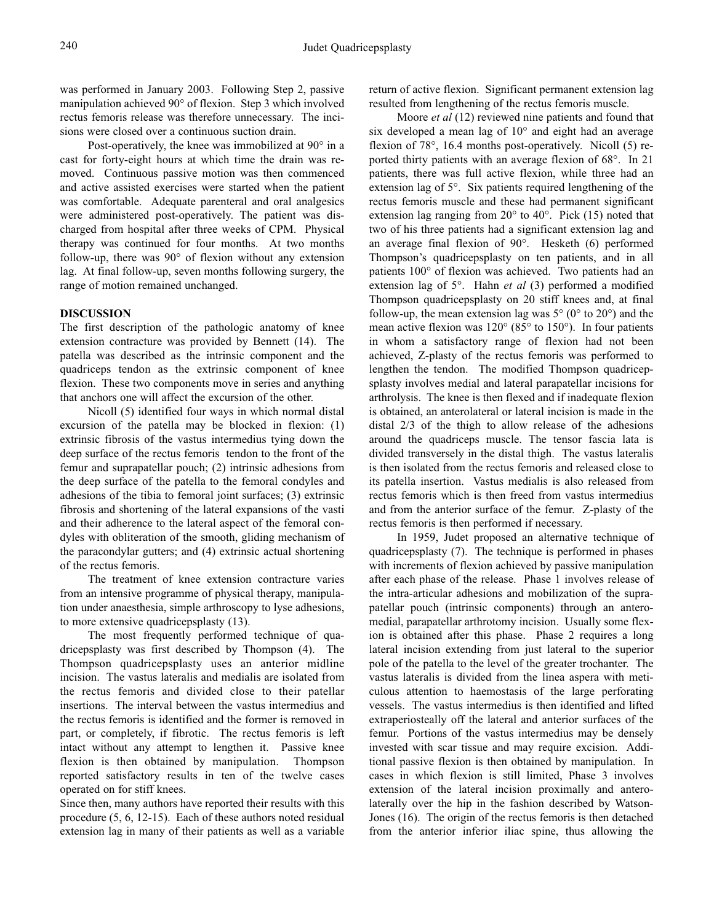was performed in January 2003. Following Step 2, passive manipulation achieved 90° of flexion. Step 3 which involved rectus femoris release was therefore unnecessary. The incisions were closed over a continuous suction drain.

Post-operatively, the knee was immobilized at 90° in a cast for forty-eight hours at which time the drain was removed. Continuous passive motion was then commenced and active assisted exercises were started when the patient was comfortable. Adequate parenteral and oral analgesics were administered post-operatively. The patient was discharged from hospital after three weeks of CPM. Physical therapy was continued for four months. At two months follow-up, there was 90° of flexion without any extension lag. At final follow-up, seven months following surgery, the range of motion remained unchanged.

## **DISCUSSION**

The first description of the pathologic anatomy of knee extension contracture was provided by Bennett (14). The patella was described as the intrinsic component and the quadriceps tendon as the extrinsic component of knee flexion. These two components move in series and anything that anchors one will affect the excursion of the other.

Nicoll (5) identified four ways in which normal distal excursion of the patella may be blocked in flexion: (1) extrinsic fibrosis of the vastus intermedius tying down the deep surface of the rectus femoris tendon to the front of the femur and suprapatellar pouch; (2) intrinsic adhesions from the deep surface of the patella to the femoral condyles and adhesions of the tibia to femoral joint surfaces; (3) extrinsic fibrosis and shortening of the lateral expansions of the vasti and their adherence to the lateral aspect of the femoral condyles with obliteration of the smooth, gliding mechanism of the paracondylar gutters; and (4) extrinsic actual shortening of the rectus femoris.

The treatment of knee extension contracture varies from an intensive programme of physical therapy, manipulation under anaesthesia, simple arthroscopy to lyse adhesions, to more extensive quadricepsplasty (13).

The most frequently performed technique of quadricepsplasty was first described by Thompson (4). The Thompson quadricepsplasty uses an anterior midline incision. The vastus lateralis and medialis are isolated from the rectus femoris and divided close to their patellar insertions. The interval between the vastus intermedius and the rectus femoris is identified and the former is removed in part, or completely, if fibrotic. The rectus femoris is left intact without any attempt to lengthen it. Passive knee flexion is then obtained by manipulation. Thompson reported satisfactory results in ten of the twelve cases operated on for stiff knees.

Since then, many authors have reported their results with this procedure (5, 6, 12-15). Each of these authors noted residual extension lag in many of their patients as well as a variable return of active flexion. Significant permanent extension lag resulted from lengthening of the rectus femoris muscle.

Moore *et al* (12) reviewed nine patients and found that six developed a mean lag of 10° and eight had an average flexion of 78°, 16.4 months post-operatively. Nicoll (5) reported thirty patients with an average flexion of 68°. In 21 patients, there was full active flexion, while three had an extension lag of 5°. Six patients required lengthening of the rectus femoris muscle and these had permanent significant extension lag ranging from 20° to 40°. Pick (15) noted that two of his three patients had a significant extension lag and an average final flexion of 90°. Hesketh (6) performed Thompson's quadricepsplasty on ten patients, and in all patients 100° of flexion was achieved. Two patients had an extension lag of 5°. Hahn *et al* (3) performed a modified Thompson quadricepsplasty on 20 stiff knees and, at final follow-up, the mean extension lag was  $5^{\circ}$  (0° to 20°) and the mean active flexion was 120° (85° to 150°). In four patients in whom a satisfactory range of flexion had not been achieved, Z-plasty of the rectus femoris was performed to lengthen the tendon. The modified Thompson quadricepsplasty involves medial and lateral parapatellar incisions for arthrolysis. The knee is then flexed and if inadequate flexion is obtained, an anterolateral or lateral incision is made in the distal 2/3 of the thigh to allow release of the adhesions around the quadriceps muscle. The tensor fascia lata is divided transversely in the distal thigh. The vastus lateralis is then isolated from the rectus femoris and released close to its patella insertion. Vastus medialis is also released from rectus femoris which is then freed from vastus intermedius and from the anterior surface of the femur. Z-plasty of the rectus femoris is then performed if necessary.

In 1959, Judet proposed an alternative technique of quadricepsplasty (7). The technique is performed in phases with increments of flexion achieved by passive manipulation after each phase of the release. Phase 1 involves release of the intra-articular adhesions and mobilization of the suprapatellar pouch (intrinsic components) through an anteromedial, parapatellar arthrotomy incision. Usually some flexion is obtained after this phase. Phase 2 requires a long lateral incision extending from just lateral to the superior pole of the patella to the level of the greater trochanter. The vastus lateralis is divided from the linea aspera with meticulous attention to haemostasis of the large perforating vessels. The vastus intermedius is then identified and lifted extraperiosteally off the lateral and anterior surfaces of the femur. Portions of the vastus intermedius may be densely invested with scar tissue and may require excision. Additional passive flexion is then obtained by manipulation. In cases in which flexion is still limited, Phase 3 involves extension of the lateral incision proximally and anterolaterally over the hip in the fashion described by Watson-Jones (16). The origin of the rectus femoris is then detached from the anterior inferior iliac spine, thus allowing the